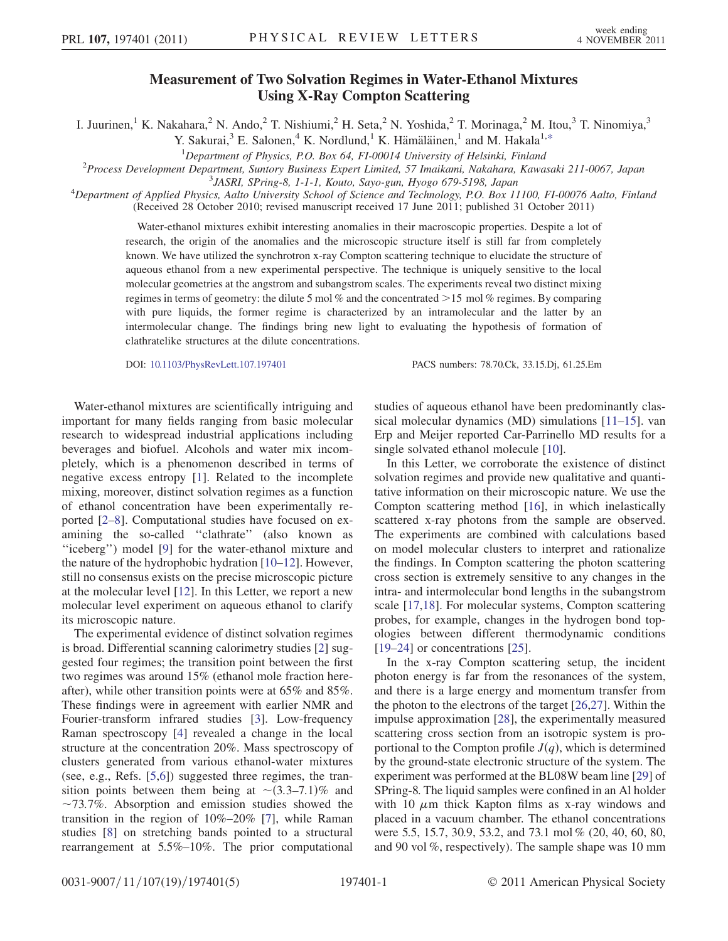## Measurement of Two Solvation Regimes in Water-Ethanol Mixtures  $U_0$   $U_0$   $U_0$   $U_0$   $U_0$   $U_0$   $U_0$   $U_0$   $U_0$   $U_0$   $U_0$   $U_0$   $U_0$   $U_0$   $U_0$   $U_0$   $U_0$   $U_0$   $U_0$   $U_0$   $U_0$   $U_0$   $U_0$   $U_0$   $U_0$   $U_0$   $U_0$   $U_0$   $U_0$   $U_0$   $U_0$   $U_0$   $U_0$   $U_0$   $U_0$   $U_0$   $U_0$

<span id="page-0-0"></span>I. Juurinen,<sup>1</sup> K. Nakahara,<sup>2</sup> N. Ando,<sup>2</sup> T. Nishiumi,<sup>2</sup> H. Seta,<sup>2</sup> N. Yoshida,<sup>2</sup> T. Morinaga,<sup>2</sup> M. Itou,<sup>3</sup> T. Ninomiya,<sup>3</sup>

Y. Sakurai,<sup>3</sup> E. Salonen,<sup>4</sup> K. Nordlund,<sup>1</sup> K. Hämäläinen,<sup>1</sup> and M. Hakala<sup>1[,\\*](#page-3-0)</sup>

<sup>1</sup>Department of Physics, P.O. Box 64, FI-00014 University of Helsinki, Finland<br><sup>2</sup>Process Development Department Suptory Business Expert Limited 57 Imaikami Nakabara, Kawa

<sup>2</sup>Process Development Department, Suntory Business Expert Limited, 57 Imaikami, Nakahara, Kawasaki 211-0067, Japan

JASRI, SPring-8, 1-1-1, Kouto, Sayo-gun, Hyogo 679-5198, Japan <sup>4</sup>

 $^4$ Department of Applied Physics, Aalto University School of Science and Technology, P.O. Box 11100, FI-00076 Aalto, Finland (Received 28 October 2010; revised manuscript received 17 June 2011; published 31 October 2011)

Water-ethanol mixtures exhibit interesting anomalies in their macroscopic properties. Despite a lot of research, the origin of the anomalies and the microscopic structure itself is still far from completely known. We have utilized the synchrotron x-ray Compton scattering technique to elucidate the structure of aqueous ethanol from a new experimental perspective. The technique is uniquely sensitive to the local molecular geometries at the angstrom and subangstrom scales. The experiments reveal two distinct mixing regimes in terms of geometry: the dilute 5 mol % and the concentrated >15 mol % regimes. By comparing with pure liquids, the former regime is characterized by an intramolecular and the latter by an intermolecular change. The findings bring new light to evaluating the hypothesis of formation of clathratelike structures at the dilute concentrations.

DOI: [10.1103/PhysRevLett.107.197401](http://dx.doi.org/10.1103/PhysRevLett.107.197401) PACS numbers: 78.70.Ck, 33.15.Dj, 61.25.Em

Water-ethanol mixtures are scientifically intriguing and important for many fields ranging from basic molecular research to widespread industrial applications including beverages and biofuel. Alcohols and water mix incompletely, which is a phenomenon described in terms of negative excess entropy [\[1](#page-3-1)]. Related to the incomplete mixing, moreover, distinct solvation regimes as a function of ethanol concentration have been experimentally reported [[2](#page-3-2)[–8\]](#page-3-3). Computational studies have focused on examining the so-called ''clathrate'' (also known as "iceberg") model [[9](#page-3-4)] for the water-ethanol mixture and the nature of the hydrophobic hydration [[10](#page-3-5)[–12\]](#page-3-6). However, still no consensus exists on the precise microscopic picture at the molecular level [[12](#page-3-6)]. In this Letter, we report a new molecular level experiment on aqueous ethanol to clarify its microscopic nature.

The experimental evidence of distinct solvation regimes is broad. Differential scanning calorimetry studies [[2](#page-3-2)] suggested four regimes; the transition point between the first two regimes was around 15% (ethanol mole fraction hereafter), while other transition points were at 65% and 85%. These findings were in agreement with earlier NMR and Fourier-transform infrared studies [\[3](#page-3-7)]. Low-frequency Raman spectroscopy [\[4](#page-3-8)] revealed a change in the local structure at the concentration 20%. Mass spectroscopy of clusters generated from various ethanol-water mixtures (see, e.g., Refs. [\[5,](#page-3-9)[6](#page-3-10)]) suggested three regimes, the transition points between them being at  $\sim$  (3.3–7.1)% and  $\sim$ 73.7%. Absorption and emission studies showed the transition in the region of 10%–20% [\[7](#page-3-11)], while Raman studies [[8](#page-3-3)] on stretching bands pointed to a structural rearrangement at 5.5%–10%. The prior computational studies of aqueous ethanol have been predominantly classical molecular dynamics (MD) simulations [\[11–](#page-3-12)[15\]](#page-3-13). van Erp and Meijer reported Car-Parrinello MD results for a single solvated ethanol molecule [[10](#page-3-5)].

In this Letter, we corroborate the existence of distinct solvation regimes and provide new qualitative and quantitative information on their microscopic nature. We use the Compton scattering method [\[16\]](#page-3-14), in which inelastically scattered x-ray photons from the sample are observed. The experiments are combined with calculations based on model molecular clusters to interpret and rationalize the findings. In Compton scattering the photon scattering cross section is extremely sensitive to any changes in the intra- and intermolecular bond lengths in the subangstrom scale [[17](#page-3-15),[18](#page-3-16)]. For molecular systems, Compton scattering probes, for example, changes in the hydrogen bond topologies between different thermodynamic conditions [\[19–](#page-3-17)[24\]](#page-4-0) or concentrations [[25](#page-4-1)].

In the x-ray Compton scattering setup, the incident photon energy is far from the resonances of the system, and there is a large energy and momentum transfer from the photon to the electrons of the target [[26](#page-4-2),[27](#page-4-3)]. Within the impulse approximation [[28](#page-4-4)], the experimentally measured scattering cross section from an isotropic system is proportional to the Compton profile  $J(q)$ , which is determined by the ground-state electronic structure of the system. The experiment was performed at the BL08W beam line [\[29\]](#page-4-5) of SPring-8. The liquid samples were confined in an Al holder with 10  $\mu$ m thick Kapton films as x-ray windows and placed in a vacuum chamber. The ethanol concentrations were 5.5, 15.7, 30.9, 53.2, and 73.1 mol % (20, 40, 60, 80, and 90 vol %, respectively). The sample shape was 10 mm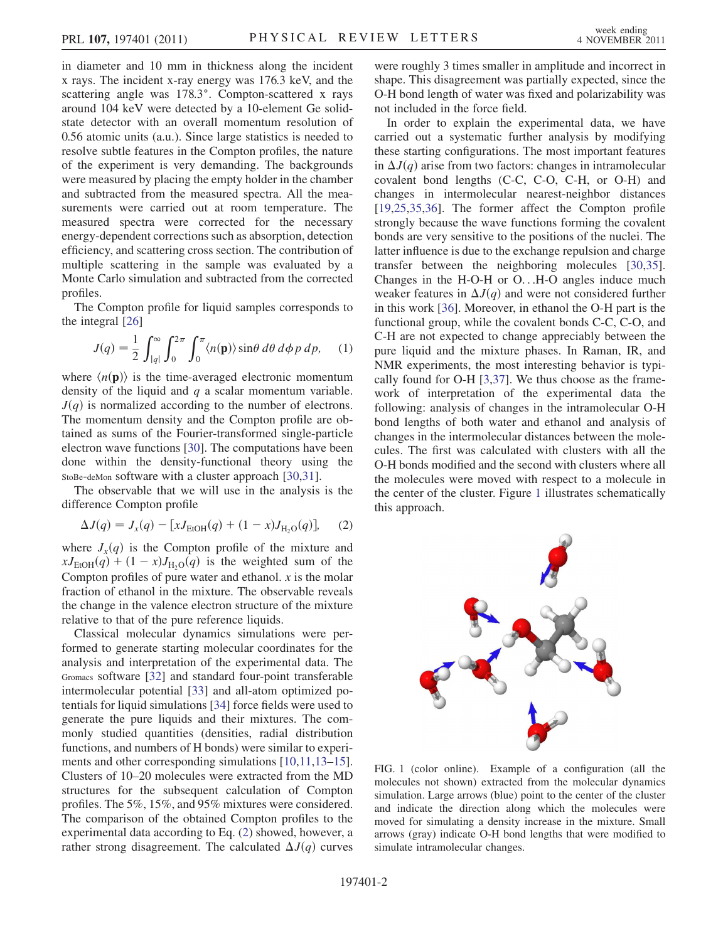in diameter and 10 mm in thickness along the incident x rays. The incident x-ray energy was 176.3 keV, and the scattering angle was 178.3°. Compton-scattered x rays around 104 keV were detected by a 10-element Ge solidstate detector with an overall momentum resolution of 0.56 atomic units (a.u.). Since large statistics is needed to resolve subtle features in the Compton profiles, the nature of the experiment is very demanding. The backgrounds were measured by placing the empty holder in the chamber and subtracted from the measured spectra. All the measurements were carried out at room temperature. The measured spectra were corrected for the necessary energy-dependent corrections such as absorption, detection efficiency, and scattering cross section. The contribution of multiple scattering in the sample was evaluated by a Monte Carlo simulation and subtracted from the corrected profiles.

The Compton profile for liquid samples corresponds to the integral [\[26\]](#page-4-2)

$$
J(q) = \frac{1}{2} \int_{|q|}^{\infty} \int_{0}^{2\pi} \int_{0}^{\pi} \langle n(\mathbf{p}) \rangle \sin \theta \, d\theta \, d\phi \, p \, dp, \quad (1)
$$

where  $\langle n(\mathbf{p})\rangle$  is the time-averaged electronic momentum density of the liquid and  $q$  a scalar momentum variable.  $J(q)$  is normalized according to the number of electrons. The momentum density and the Compton profile are obtained as sums of the Fourier-transformed single-particle electron wave functions [[30](#page-4-6)]. The computations have been done within the density-functional theory using the StoBe-deMon software with a cluster approach [\[30](#page-4-6)[,31\]](#page-4-7).

<span id="page-1-0"></span>The observable that we will use in the analysis is the difference Compton profile

$$
\Delta J(q) = J_x(q) - [xJ_{\text{EtOH}}(q) + (1 - x)J_{\text{H}_2\text{O}}(q)], \quad (2)
$$

where  $J_x(q)$  is the Compton profile of the mixture and  $xJ_{\text{EtoH}}(q) + (1-x)J_{\text{H}_2O}(q)$  is the weighted sum of the Compton profiles of pure water and ethanol.  $x$  is the molar fraction of ethanol in the mixture. The observable reveals the change in the valence electron structure of the mixture relative to that of the pure reference liquids.

Classical molecular dynamics simulations were performed to generate starting molecular coordinates for the analysis and interpretation of the experimental data. The Gromacs software [\[32\]](#page-4-8) and standard four-point transferable intermolecular potential [\[33\]](#page-4-9) and all-atom optimized potentials for liquid simulations [[34](#page-4-10)] force fields were used to generate the pure liquids and their mixtures. The commonly studied quantities (densities, radial distribution functions, and numbers of H bonds) were similar to experiments and other corresponding simulations [[10](#page-3-5),[11](#page-3-12),[13](#page-3-18)–[15\]](#page-3-13). Clusters of 10–20 molecules were extracted from the MD structures for the subsequent calculation of Compton profiles. The 5%, 15%, and 95% mixtures were considered. The comparison of the obtained Compton profiles to the experimental data according to Eq. [\(2](#page-1-0)) showed, however, a rather strong disagreement. The calculated  $\Delta J(q)$  curves were roughly 3 times smaller in amplitude and incorrect in shape. This disagreement was partially expected, since the O-H bond length of water was fixed and polarizability was not included in the force field.

In order to explain the experimental data, we have carried out a systematic further analysis by modifying these starting configurations. The most important features in  $\Delta J(q)$  arise from two factors: changes in intramolecular covalent bond lengths (C-C, C-O, C-H, or O-H) and changes in intermolecular nearest-neighbor distances [\[19](#page-3-17)[,25,](#page-4-1)[35](#page-4-11),[36](#page-4-12)]. The former affect the Compton profile strongly because the wave functions forming the covalent bonds are very sensitive to the positions of the nuclei. The latter influence is due to the exchange repulsion and charge transfer between the neighboring molecules [\[30,](#page-4-6)[35\]](#page-4-11). Changes in the H-O-H or O...H-O angles induce much weaker features in  $\Delta J(q)$  and were not considered further in this work [[36\]](#page-4-12). Moreover, in ethanol the O-H part is the functional group, while the covalent bonds C-C, C-O, and C-H are not expected to change appreciably between the pure liquid and the mixture phases. In Raman, IR, and NMR experiments, the most interesting behavior is typically found for O-H [[3,](#page-3-7)[37](#page-4-13)]. We thus choose as the framework of interpretation of the experimental data the following: analysis of changes in the intramolecular O-H bond lengths of both water and ethanol and analysis of changes in the intermolecular distances between the molecules. The first was calculated with clusters with all the O-H bonds modified and the second with clusters where all the molecules were moved with respect to a molecule in the center of the cluster. Figure [1](#page-1-1) illustrates schematically this approach.

<span id="page-1-1"></span>

FIG. 1 (color online). Example of a configuration (all the molecules not shown) extracted from the molecular dynamics simulation. Large arrows (blue) point to the center of the cluster and indicate the direction along which the molecules were moved for simulating a density increase in the mixture. Small arrows (gray) indicate O-H bond lengths that were modified to simulate intramolecular changes.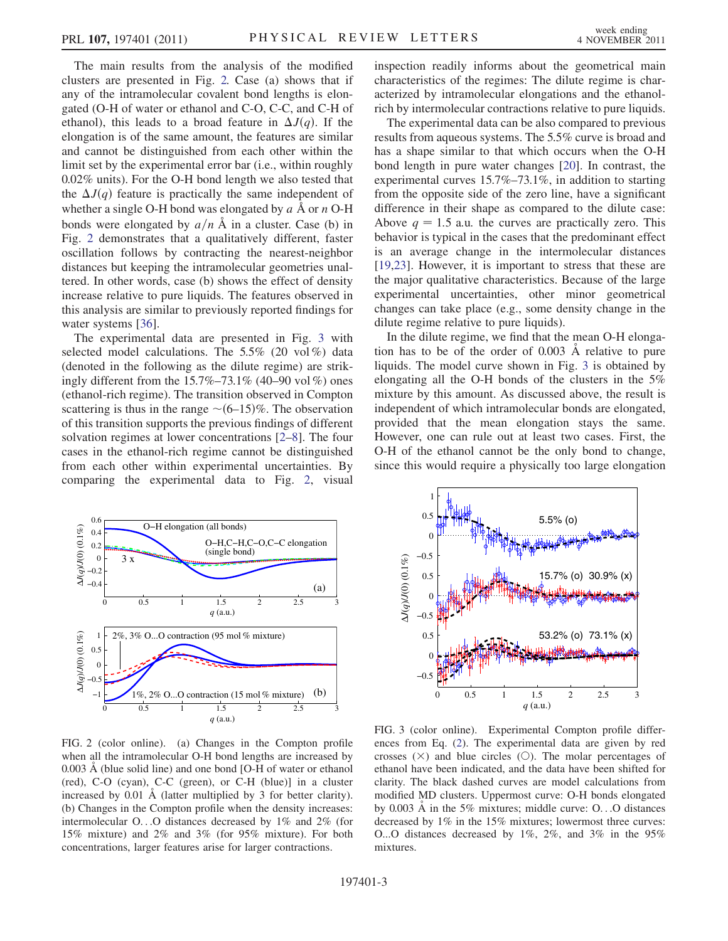The main results from the analysis of the modified clusters are presented in Fig. [2.](#page-2-0) Case (a) shows that if any of the intramolecular covalent bond lengths is elongated (O-H of water or ethanol and C-O, C-C, and C-H of ethanol), this leads to a broad feature in  $\Delta J(q)$ . If the elongation is of the same amount, the features are similar and cannot be distinguished from each other within the limit set by the experimental error bar (i.e., within roughly 0.02% units). For the O-H bond length we also tested that the  $\Delta J(q)$  feature is practically the same independent of whether a single O-H bond was elongated by  $\overrightarrow{a}$  Å or n O-H bonds were elongated by  $a/n$  Å in a cluster. Case (b) in Fig. [2](#page-2-0) demonstrates that a qualitatively different, faster oscillation follows by contracting the nearest-neighbor distances but keeping the intramolecular geometries unaltered. In other words, case (b) shows the effect of density increase relative to pure liquids. The features observed in this analysis are similar to previously reported findings for water systems [[36](#page-4-12)].

The experimental data are presented in Fig. [3](#page-2-1) with selected model calculations. The 5.5% (20 vol %) data (denoted in the following as the dilute regime) are strikingly different from the 15.7%–73.1% (40–90 vol %) ones (ethanol-rich regime). The transition observed in Compton scattering is thus in the range  $\sim (6–15)\%$ . The observation of this transition supports the previous findings of different solvation regimes at lower concentrations [\[2](#page-3-2)–[8\]](#page-3-3). The four cases in the ethanol-rich regime cannot be distinguished from each other within experimental uncertainties. By comparing the experimental data to Fig. [2](#page-2-0), visual

<span id="page-2-0"></span>

FIG. 2 (color online). (a) Changes in the Compton profile when all the intramolecular O-H bond lengths are increased by  $0.003 \text{ Å}$  (blue solid line) and one bond [O-H of water or ethanol (red), C-O (cyan), C-C (green), or C-H (blue)] in a cluster increased by  $0.01$  Å (latter multiplied by 3 for better clarity). (b) Changes in the Compton profile when the density increases: intermolecular O...O distances decreased by 1% and 2% (for 15% mixture) and 2% and 3% (for 95% mixture). For both concentrations, larger features arise for larger contractions.

inspection readily informs about the geometrical main characteristics of the regimes: The dilute regime is characterized by intramolecular elongations and the ethanolrich by intermolecular contractions relative to pure liquids.

The experimental data can be also compared to previous results from aqueous systems. The 5.5% curve is broad and has a shape similar to that which occurs when the O-H bond length in pure water changes [[20](#page-4-14)]. In contrast, the experimental curves 15.7%–73.1%, in addition to starting from the opposite side of the zero line, have a significant difference in their shape as compared to the dilute case: Above  $q = 1.5$  a.u. the curves are practically zero. This behavior is typical in the cases that the predominant effect is an average change in the intermolecular distances [\[19](#page-3-17)[,23\]](#page-4-15). However, it is important to stress that these are the major qualitative characteristics. Because of the large experimental uncertainties, other minor geometrical changes can take place (e.g., some density change in the dilute regime relative to pure liquids).

In the dilute regime, we find that the mean O-H elongation has to be of the order of  $0.003$  Å relative to pure liquids. The model curve shown in Fig. [3](#page-2-1) is obtained by elongating all the O-H bonds of the clusters in the 5% mixture by this amount. As discussed above, the result is independent of which intramolecular bonds are elongated, provided that the mean elongation stays the same. However, one can rule out at least two cases. First, the O-H of the ethanol cannot be the only bond to change, since this would require a physically too large elongation

<span id="page-2-1"></span>

FIG. 3 (color online). Experimental Compton profile differences from Eq. [\(2\)](#page-1-0). The experimental data are given by red crosses  $(X)$  and blue circles  $(O)$ . The molar percentages of ethanol have been indicated, and the data have been shifted for clarity. The black dashed curves are model calculations from modified MD clusters. Uppermost curve: O-H bonds elongated by  $0.003$  Å in the 5% mixtures; middle curve: O...O distances decreased by 1% in the 15% mixtures; lowermost three curves: O...O distances decreased by 1%, 2%, and 3% in the 95% mixtures.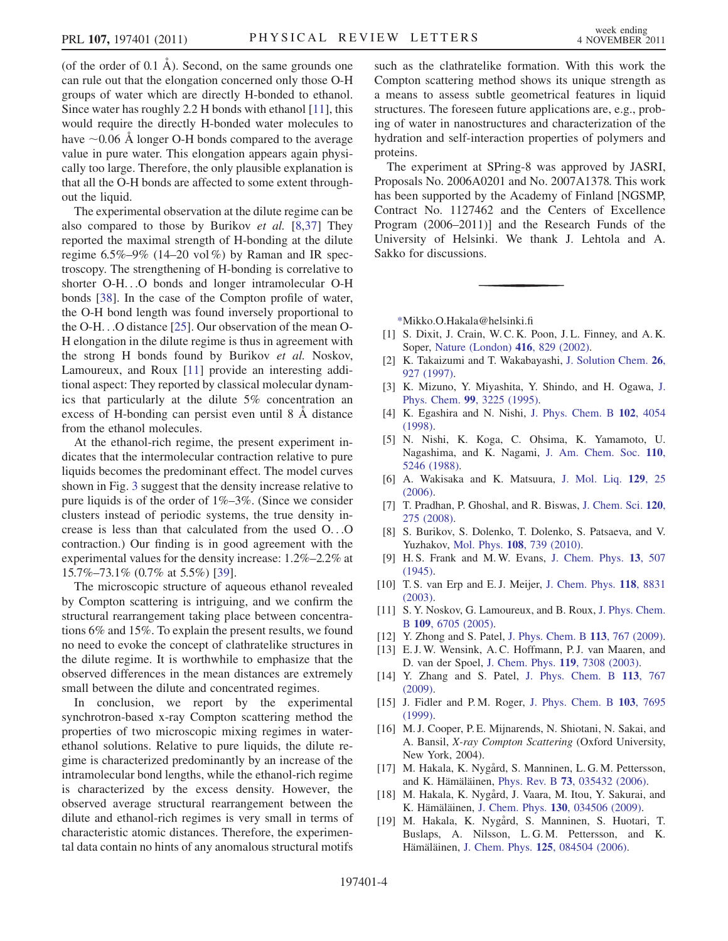(of the order of  $0.1 \text{ Å}$ ). Second, on the same grounds one can rule out that the elongation concerned only those O-H groups of water which are directly H-bonded to ethanol. Since water has roughly 2.2 H bonds with ethanol [\[11\]](#page-3-12), this would require the directly H-bonded water molecules to have  $\sim$  0.06 Å longer O-H bonds compared to the average value in pure water. This elongation appears again physically too large. Therefore, the only plausible explanation is that all the O-H bonds are affected to some extent throughout the liquid.

The experimental observation at the dilute regime can be also compared to those by Burikov et al. [[8](#page-3-3)[,37\]](#page-4-13) They reported the maximal strength of H-bonding at the dilute regime  $6.5\% - 9\%$  (14–20 vol %) by Raman and IR spectroscopy. The strengthening of H-bonding is correlative to shorter O-H...O bonds and longer intramolecular O-H bonds [\[38\]](#page-4-16). In the case of the Compton profile of water, the O-H bond length was found inversely proportional to the O-H...O distance [[25](#page-4-1)]. Our observation of the mean O-H elongation in the dilute regime is thus in agreement with the strong H bonds found by Burikov et al. Noskov, Lamoureux, and Roux [[11](#page-3-12)] provide an interesting additional aspect: They reported by classical molecular dynamics that particularly at the dilute 5% concentration an excess of H-bonding can persist even until 8 A distance from the ethanol molecules.

At the ethanol-rich regime, the present experiment indicates that the intermolecular contraction relative to pure liquids becomes the predominant effect. The model curves shown in Fig. [3](#page-2-1) suggest that the density increase relative to pure liquids is of the order of  $1\% - 3\%$ . (Since we consider clusters instead of periodic systems, the true density increase is less than that calculated from the used O...O contraction.) Our finding is in good agreement with the experimental values for the density increase: 1.2%–2.2% at 15.7%–73.1% (0.7% at 5.5%) [[39](#page-4-17)].

The microscopic structure of aqueous ethanol revealed by Compton scattering is intriguing, and we confirm the structural rearrangement taking place between concentrations 6% and 15%. To explain the present results, we found no need to evoke the concept of clathratelike structures in the dilute regime. It is worthwhile to emphasize that the observed differences in the mean distances are extremely small between the dilute and concentrated regimes.

In conclusion, we report by the experimental synchrotron-based x-ray Compton scattering method the properties of two microscopic mixing regimes in waterethanol solutions. Relative to pure liquids, the dilute regime is characterized predominantly by an increase of the intramolecular bond lengths, while the ethanol-rich regime is characterized by the excess density. However, the observed average structural rearrangement between the dilute and ethanol-rich regimes is very small in terms of characteristic atomic distances. Therefore, the experimental data contain no hints of any anomalous structural motifs such as the clathratelike formation. With this work the Compton scattering method shows its unique strength as a means to assess subtle geometrical features in liquid structures. The foreseen future applications are, e.g., probing of water in nanostructures and characterization of the hydration and self-interaction properties of polymers and proteins.

The experiment at SPring-8 was approved by JASRI, Proposals No. 2006A0201 and No. 2007A1378. This work has been supported by the Academy of Finland [NGSMP, Contract No. 1127462 and the Centers of Excellence Program (2006–2011)] and the Research Funds of the University of Helsinki. We thank J. Lehtola and A. Sakko for discussions.

<span id="page-3-0"></span>[\\*M](#page-0-0)ikko.O.Hakala@helsinki.fi

- <span id="page-3-2"></span><span id="page-3-1"></span>[1] S. Dixit, J. Crain, W. C. K. Poon, J. L. Finney, and A. K. Soper, [Nature \(London\)](http://dx.doi.org/10.1038/416829a) 416, 829 (2002).
- <span id="page-3-7"></span>[2] K. Takaizumi and T. Wakabayashi, [J. Solution Chem.](http://dx.doi.org/10.1007/BF02768051) 26, [927 \(1997\)](http://dx.doi.org/10.1007/BF02768051).
- <span id="page-3-8"></span>[3] K. Mizuno, Y. Miyashita, Y. Shindo, and H. Ogawa, [J.](http://dx.doi.org/10.1021/j100010a037) Phys. Chem. 99[, 3225 \(1995\).](http://dx.doi.org/10.1021/j100010a037)
- <span id="page-3-9"></span>[4] K. Egashira and N. Nishi, [J. Phys. Chem. B](http://dx.doi.org/10.1021/jp9806359) 102, 4054 [\(1998\)](http://dx.doi.org/10.1021/jp9806359).
- <span id="page-3-10"></span>[5] N. Nishi, K. Koga, C. Ohsima, K. Yamamoto, U. Nagashima, and K. Nagami, [J. Am. Chem. Soc.](http://dx.doi.org/10.1021/ja00224a002) 110, [5246 \(1988\)](http://dx.doi.org/10.1021/ja00224a002).
- <span id="page-3-11"></span>[6] A. Wakisaka and K. Matsuura, [J. Mol. Liq.](http://dx.doi.org/10.1016/j.molliq.2006.08.010) 129, 25 [\(2006\)](http://dx.doi.org/10.1016/j.molliq.2006.08.010).
- <span id="page-3-3"></span>[7] T. Pradhan, P. Ghoshal, and R. Biswas, [J. Chem. Sci.](http://dx.doi.org/10.1007/s12039-008-0033-0) 120, [275 \(2008\)](http://dx.doi.org/10.1007/s12039-008-0033-0).
- <span id="page-3-4"></span>[8] S. Burikov, S. Dolenko, T. Dolenko, S. Patsaeva, and V. Yuzhakov, Mol. Phys. 108[, 739 \(2010\)](http://dx.doi.org/10.1080/00268970903567288).
- <span id="page-3-5"></span>[9] H. S. Frank and M. W. Evans, [J. Chem. Phys.](http://dx.doi.org/10.1063/1.1723985) 13, 507 [\(1945\)](http://dx.doi.org/10.1063/1.1723985).
- <span id="page-3-12"></span>[10] T. S. van Erp and E. J. Meijer, [J. Chem. Phys.](http://dx.doi.org/10.1063/1.1567258) 118, 8831 [\(2003\)](http://dx.doi.org/10.1063/1.1567258).
- <span id="page-3-18"></span><span id="page-3-6"></span>[11] S. Y. Noskov, G. Lamoureux, and B. Roux, [J. Phys. Chem.](http://dx.doi.org/10.1021/jp045438q) <sup>B</sup> 109[, 6705 \(2005\).](http://dx.doi.org/10.1021/jp045438q)
- [12] Y. Zhong and S. Patel, [J. Phys. Chem. B](http://dx.doi.org/10.1021/jp807053p) 113, 767 (2009).
- [13] E. J. W. Wensink, A. C. Hoffmann, P. J. van Maaren, and D. van der Spoel, [J. Chem. Phys.](http://dx.doi.org/10.1063/1.1607918) 119, 7308 (2003).
- <span id="page-3-13"></span>[14] Y. Zhang and S. Patel, [J. Phys. Chem. B](http://dx.doi.org/10.1021/jp807053p) 113, 767 [\(2009\)](http://dx.doi.org/10.1021/jp807053p).
- <span id="page-3-14"></span>[15] J. Fidler and P.M. Roger, [J. Phys. Chem. B](http://dx.doi.org/10.1021/jp9907903) 103, 7695 [\(1999\)](http://dx.doi.org/10.1021/jp9907903).
- <span id="page-3-15"></span>[16] M.J. Cooper, P.E. Mijnarends, N. Shiotani, N. Sakai, and A. Bansil, X-ray Compton Scattering (Oxford University, New York, 2004).
- <span id="page-3-16"></span>[17] M. Hakala, K. Nygård, S. Manninen, L. G. M. Pettersson, and K. Hämäläinen, Phys. Rev. B 73[, 035432 \(2006\).](http://dx.doi.org/10.1103/PhysRevB.73.035432)
- <span id="page-3-17"></span>[18] M. Hakala, K. Nygård, J. Vaara, M. Itou, Y. Sakurai, and K. Hämäläinen, J. Chem. Phys. 130[, 034506 \(2009\)](http://dx.doi.org/10.1063/1.3059421).
- [19] M. Hakala, K. Nygård, S. Manninen, S. Huotari, T. Buslaps, A. Nilsson, L. G. M. Pettersson, and K. Hämäläinen, J. Chem. Phys. 125[, 084504 \(2006\)](http://dx.doi.org/10.1063/1.2273627).